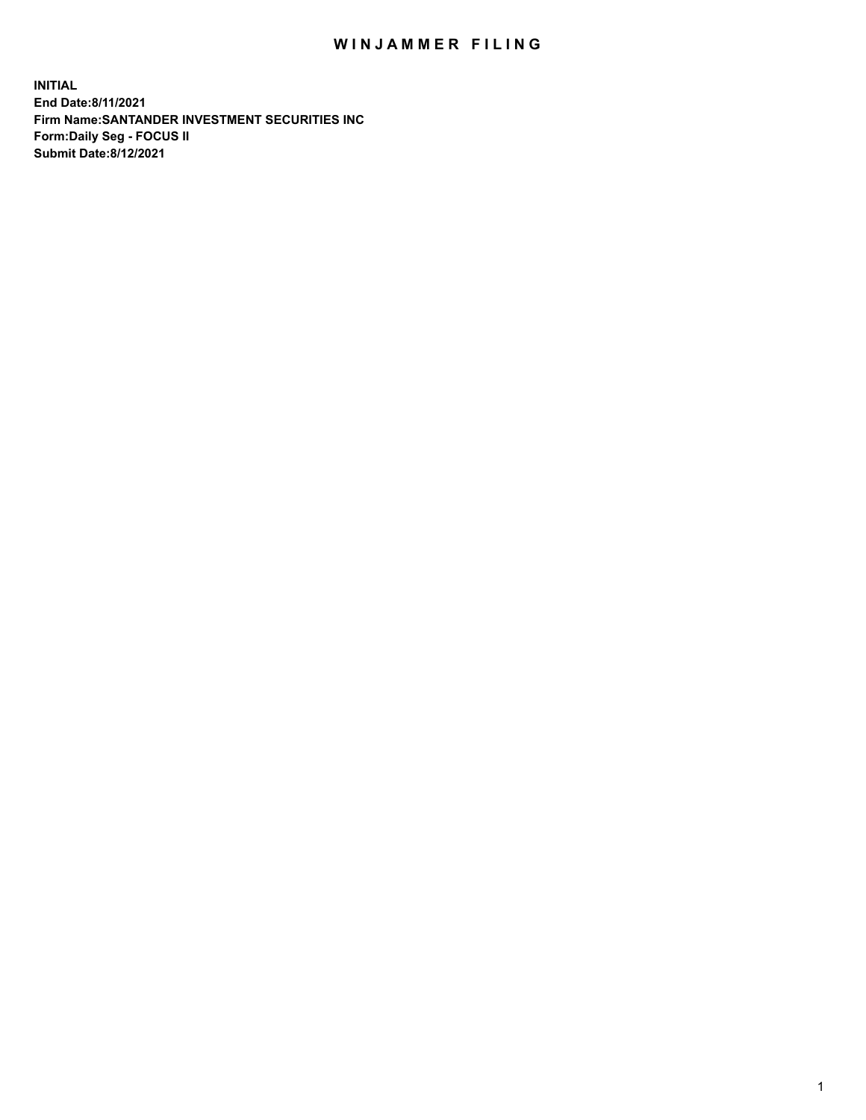## WIN JAMMER FILING

**INITIAL End Date:8/11/2021 Firm Name:SANTANDER INVESTMENT SECURITIES INC Form:Daily Seg - FOCUS II Submit Date:8/12/2021**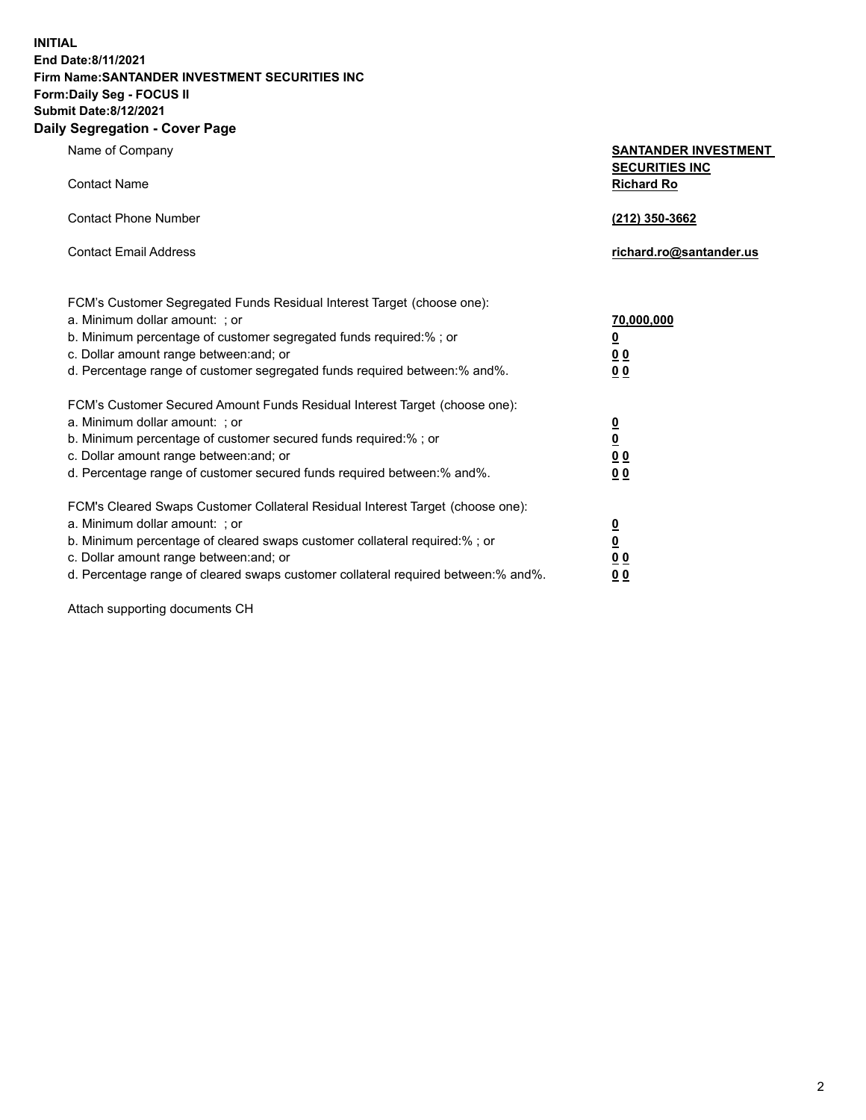**INITIAL End Date:8/11/2021 Firm Name:SANTANDER INVESTMENT SECURITIES INC Form:Daily Seg - FOCUS II Submit Date:8/12/2021 Daily Segregation - Cover Page**

Name of Company **SANTANDER INVESTMENT SECURITIES INC** Contact Name **Richard Ro** Contact Phone Number **(212) 350-3662** Contact Email Address **richard.ro@santander.us** FCM's Customer Segregated Funds Residual Interest Target (choose one): a. Minimum dollar amount: ; or **70,000,000** b. Minimum percentage of customer segregated funds required:% ; or **0** c. Dollar amount range between:and; or **0 0** d. Percentage range of customer segregated funds required between:% and%. **0 0** FCM's Customer Secured Amount Funds Residual Interest Target (choose one): a. Minimum dollar amount: ; or **0** b. Minimum percentage of customer secured funds required:% ; or **0** c. Dollar amount range between:and; or **0 0** d. Percentage range of customer secured funds required between:% and%. **0 0** FCM's Cleared Swaps Customer Collateral Residual Interest Target (choose one): a. Minimum dollar amount: ; or **0** b. Minimum percentage of cleared swaps customer collateral required:% ; or **0** c. Dollar amount range between:and; or **0 0** d. Percentage range of cleared swaps customer collateral required between:% and%. **0 0**

Attach supporting documents CH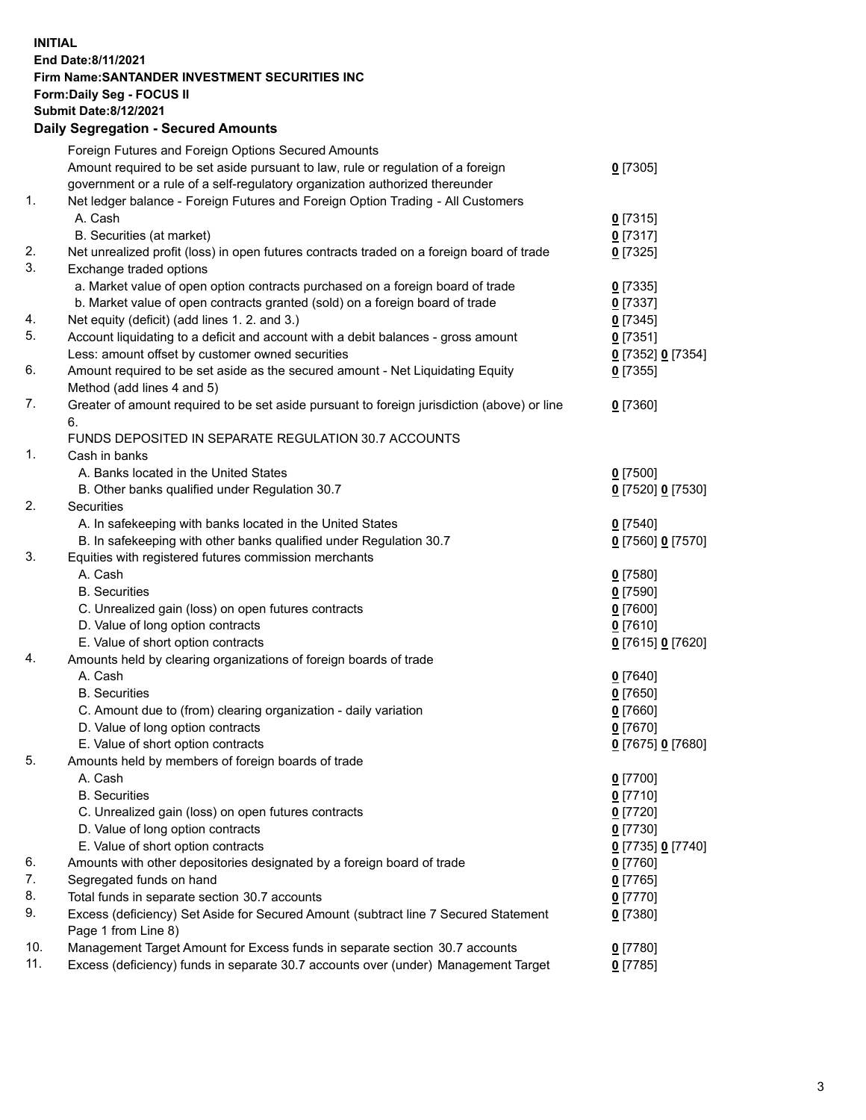## **INITIAL End Date:8/11/2021 Firm Name:SANTANDER INVESTMENT SECURITIES INC Form:Daily Seg - FOCUS II Submit Date:8/12/2021 Daily Segregation - Secured Amounts**

|     | Foreign Futures and Foreign Options Secured Amounts                                         |                   |
|-----|---------------------------------------------------------------------------------------------|-------------------|
|     | Amount required to be set aside pursuant to law, rule or regulation of a foreign            | $0$ [7305]        |
|     | government or a rule of a self-regulatory organization authorized thereunder                |                   |
| 1.  | Net ledger balance - Foreign Futures and Foreign Option Trading - All Customers             |                   |
|     | A. Cash                                                                                     | $0$ [7315]        |
|     | B. Securities (at market)                                                                   | $0$ [7317]        |
| 2.  | Net unrealized profit (loss) in open futures contracts traded on a foreign board of trade   | $0$ [7325]        |
| 3.  | Exchange traded options                                                                     |                   |
|     | a. Market value of open option contracts purchased on a foreign board of trade              | $0$ [7335]        |
|     | b. Market value of open contracts granted (sold) on a foreign board of trade                | $0$ [7337]        |
| 4.  | Net equity (deficit) (add lines 1. 2. and 3.)                                               | $0$ [7345]        |
| 5.  | Account liquidating to a deficit and account with a debit balances - gross amount           | $0$ [7351]        |
|     | Less: amount offset by customer owned securities                                            | 0 [7352] 0 [7354] |
| 6.  | Amount required to be set aside as the secured amount - Net Liquidating Equity              | $0$ [7355]        |
|     | Method (add lines 4 and 5)                                                                  |                   |
| 7.  | Greater of amount required to be set aside pursuant to foreign jurisdiction (above) or line | $0$ [7360]        |
|     | 6.                                                                                          |                   |
|     | FUNDS DEPOSITED IN SEPARATE REGULATION 30.7 ACCOUNTS                                        |                   |
| 1.  | Cash in banks                                                                               |                   |
|     | A. Banks located in the United States                                                       | $0$ [7500]        |
|     | B. Other banks qualified under Regulation 30.7                                              | 0 [7520] 0 [7530] |
| 2.  | Securities                                                                                  |                   |
|     | A. In safekeeping with banks located in the United States                                   | $0$ [7540]        |
|     | B. In safekeeping with other banks qualified under Regulation 30.7                          | 0 [7560] 0 [7570] |
| 3.  | Equities with registered futures commission merchants                                       |                   |
|     | A. Cash                                                                                     | $0$ [7580]        |
|     | <b>B.</b> Securities                                                                        | $0$ [7590]        |
|     | C. Unrealized gain (loss) on open futures contracts                                         | $0$ [7600]        |
|     | D. Value of long option contracts                                                           | $0$ [7610]        |
|     | E. Value of short option contracts                                                          | 0 [7615] 0 [7620] |
| 4.  | Amounts held by clearing organizations of foreign boards of trade                           |                   |
|     | A. Cash                                                                                     | $0$ [7640]        |
|     | <b>B.</b> Securities                                                                        | $0$ [7650]        |
|     | C. Amount due to (from) clearing organization - daily variation                             | $0$ [7660]        |
|     | D. Value of long option contracts                                                           | $0$ [7670]        |
|     | E. Value of short option contracts                                                          | 0 [7675] 0 [7680] |
| 5.  | Amounts held by members of foreign boards of trade                                          |                   |
|     | A. Cash                                                                                     | $0$ [7700]        |
|     | <b>B.</b> Securities                                                                        | $0$ [7710]        |
|     | C. Unrealized gain (loss) on open futures contracts                                         | $0$ [7720]        |
|     | D. Value of long option contracts                                                           | $0$ [7730]        |
|     | E. Value of short option contracts                                                          | 0 [7735] 0 [7740] |
| 6.  | Amounts with other depositories designated by a foreign board of trade                      | $0$ [7760]        |
| 7.  | Segregated funds on hand                                                                    | $0$ [7765]        |
| 8.  | Total funds in separate section 30.7 accounts                                               | 0 [7770]          |
| 9.  | Excess (deficiency) Set Aside for Secured Amount (subtract line 7 Secured Statement         | $0$ [7380]        |
|     | Page 1 from Line 8)                                                                         |                   |
| 10. | Management Target Amount for Excess funds in separate section 30.7 accounts                 | $0$ [7780]        |
| 11. | Excess (deficiency) funds in separate 30.7 accounts over (under) Management Target          | $0$ [7785]        |
|     |                                                                                             |                   |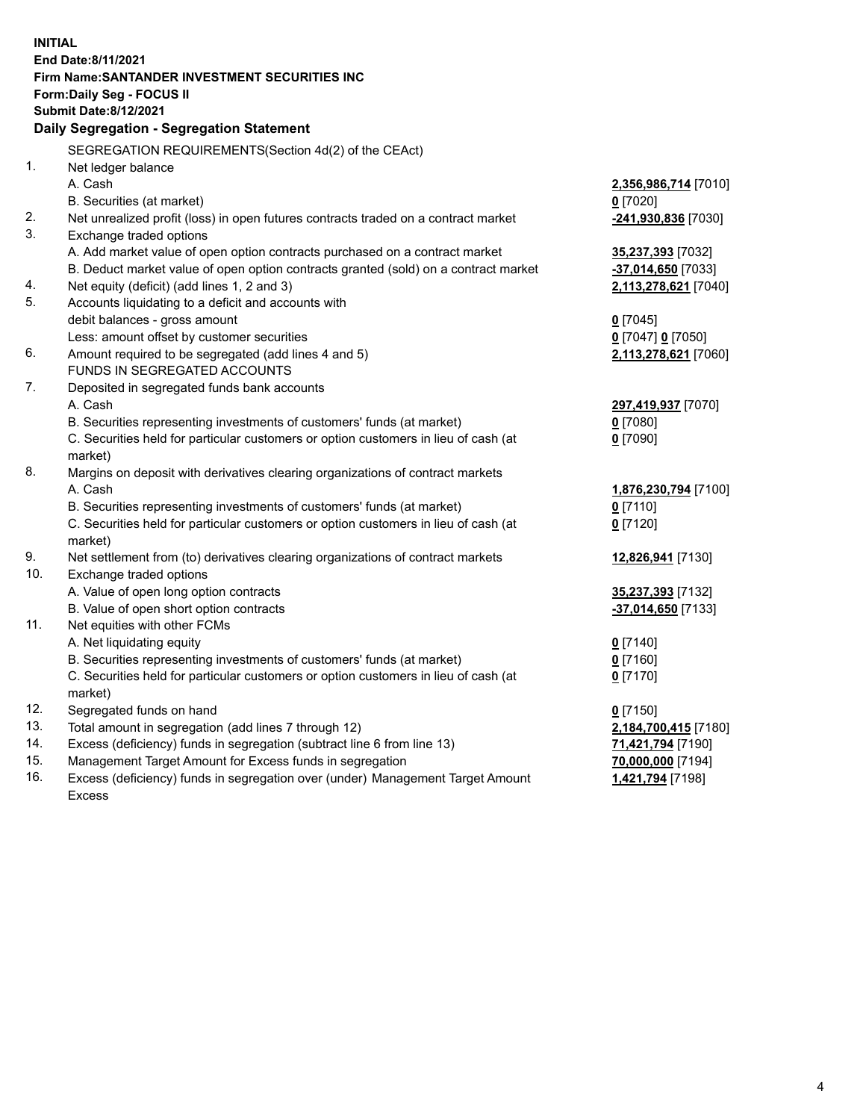| <b>INITIAL</b>     |                                                                                           |                      |  |  |  |  |
|--------------------|-------------------------------------------------------------------------------------------|----------------------|--|--|--|--|
| End Date:8/11/2021 |                                                                                           |                      |  |  |  |  |
|                    | Firm Name: SANTANDER INVESTMENT SECURITIES INC                                            |                      |  |  |  |  |
|                    | Form: Daily Seg - FOCUS II                                                                |                      |  |  |  |  |
|                    | <b>Submit Date:8/12/2021</b>                                                              |                      |  |  |  |  |
|                    | Daily Segregation - Segregation Statement                                                 |                      |  |  |  |  |
|                    | SEGREGATION REQUIREMENTS(Section 4d(2) of the CEAct)                                      |                      |  |  |  |  |
| 1.                 | Net ledger balance                                                                        |                      |  |  |  |  |
|                    | A. Cash                                                                                   | 2,356,986,714 [7010] |  |  |  |  |
|                    | B. Securities (at market)                                                                 | $0$ [7020]           |  |  |  |  |
| 2.                 | Net unrealized profit (loss) in open futures contracts traded on a contract market        | -241,930,836 [7030]  |  |  |  |  |
| 3.                 | Exchange traded options                                                                   |                      |  |  |  |  |
|                    | A. Add market value of open option contracts purchased on a contract market               | 35,237,393 [7032]    |  |  |  |  |
|                    | B. Deduct market value of open option contracts granted (sold) on a contract market       | -37,014,650 [7033]   |  |  |  |  |
| 4.                 | Net equity (deficit) (add lines 1, 2 and 3)                                               | 2,113,278,621 [7040] |  |  |  |  |
| 5.                 | Accounts liquidating to a deficit and accounts with                                       |                      |  |  |  |  |
|                    | debit balances - gross amount                                                             | $0$ [7045]           |  |  |  |  |
|                    | Less: amount offset by customer securities                                                | 0 [7047] 0 [7050]    |  |  |  |  |
| 6.                 | Amount required to be segregated (add lines 4 and 5)                                      | 2,113,278,621 [7060] |  |  |  |  |
|                    | FUNDS IN SEGREGATED ACCOUNTS                                                              |                      |  |  |  |  |
| 7.                 | Deposited in segregated funds bank accounts                                               |                      |  |  |  |  |
|                    | A. Cash                                                                                   | 297,419,937 [7070]   |  |  |  |  |
|                    | B. Securities representing investments of customers' funds (at market)                    | $0$ [7080]           |  |  |  |  |
|                    | C. Securities held for particular customers or option customers in lieu of cash (at       | $0$ [7090]           |  |  |  |  |
| 8.                 | market)<br>Margins on deposit with derivatives clearing organizations of contract markets |                      |  |  |  |  |
|                    | A. Cash                                                                                   | 1,876,230,794 [7100] |  |  |  |  |
|                    | B. Securities representing investments of customers' funds (at market)                    | $0$ [7110]           |  |  |  |  |
|                    | C. Securities held for particular customers or option customers in lieu of cash (at       | $0$ [7120]           |  |  |  |  |
|                    | market)                                                                                   |                      |  |  |  |  |
| 9.                 | Net settlement from (to) derivatives clearing organizations of contract markets           | 12,826,941 [7130]    |  |  |  |  |
| 10.                | Exchange traded options                                                                   |                      |  |  |  |  |
|                    | A. Value of open long option contracts                                                    | 35,237,393 [7132]    |  |  |  |  |
|                    | B. Value of open short option contracts                                                   | -37,014,650 [7133]   |  |  |  |  |
| 11.                | Net equities with other FCMs                                                              |                      |  |  |  |  |
|                    | A. Net liquidating equity                                                                 | $0$ [7140]           |  |  |  |  |
|                    | B. Securities representing investments of customers' funds (at market)                    | $0$ [7160]           |  |  |  |  |
|                    | C. Securities held for particular customers or option customers in lieu of cash (at       | $0$ [7170]           |  |  |  |  |
|                    | market)                                                                                   |                      |  |  |  |  |
| 12.                | Segregated funds on hand                                                                  | $0$ [7150]           |  |  |  |  |
| 13.                | Total amount in segregation (add lines 7 through 12)                                      | 2,184,700,415 [7180] |  |  |  |  |
| 14.                | Excess (deficiency) funds in segregation (subtract line 6 from line 13)                   | 71,421,794 [7190]    |  |  |  |  |
| 15.                | Management Target Amount for Excess funds in segregation                                  | 70,000,000 [7194]    |  |  |  |  |
| 16.                | Excess (deficiency) funds in segregation over (under) Management Target Amount            | 1,421,794 [7198]     |  |  |  |  |
|                    | <b>Excess</b>                                                                             |                      |  |  |  |  |